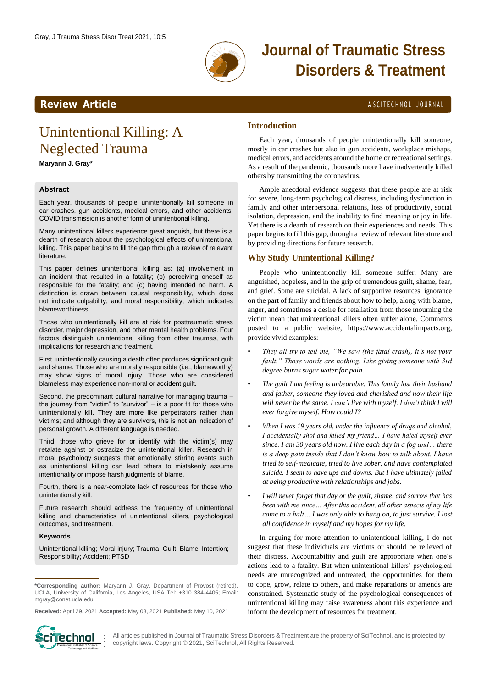

# **Journal of Traumatic Stress Disorders & Treatment**

### **Review Article** A SCITECHNOL JOURNAL

## Unintentional Killing: A Neglected Trauma

**Maryann J. Gray\***

### **Abstract**

Each year, thousands of people unintentionally kill someone in car crashes, gun accidents, medical errors, and other accidents. COVID transmission is another form of unintentional killing.

Many unintentional killers experience great anguish, but there is a dearth of research about the psychological effects of unintentional killing. This paper begins to fill the gap through a review of relevant literature.

This paper defines unintentional killing as: (a) involvement in an incident that resulted in a fatality; (b) perceiving oneself as responsible for the fatality; and (c) having intended no harm. A distinction is drawn between causal responsibility, which does not indicate culpability, and moral responsibility, which indicates blameworthiness.

Those who unintentionally kill are at risk for posttraumatic stress disorder, major depression, and other mental health problems. Four factors distinguish unintentional killing from other traumas, with implications for research and treatment.

First, unintentionally causing a death often produces significant guilt and shame. Those who are morally responsible (i.e., blameworthy) may show signs of moral injury. Those who are considered blameless may experience non-moral or accident guilt.

Second, the predominant cultural narrative for managing trauma – the journey from "victim" to "survivor" – is a poor fit for those who unintentionally kill. They are more like perpetrators rather than victims; and although they are survivors, this is not an indication of personal growth. A different language is needed.

Third, those who grieve for or identify with the victim(s) may retalate against or ostracize the unintentional killer. Research in moral psychology suggests that emotionally stirring events such as unintentional killing can lead others to mistakenly assume intentionality or impose harsh judgments of blame.

Fourth, there is a near-complete lack of resources for those who unintentionally kill.

Future research should address the frequency of unintentional killing and characteristics of unintentional killers, psychological outcomes, and treatment.

#### **Keywords**

Unintentional killing; Moral injury; Trauma; Guilt; Blame; Intention; Responsibility; Accident; PTSD

**Received:** April 29, 2021 **Accepted:** May 03, 2021 **Published:** May 10, 2021



All articles published in Journal of Traumatic Stress Disorders & Treatment are the property of SciTechnol, and is protected by copyright laws. Copyright © 2021, SciTechnol, All Rights Reserved.

#### **Introduction**

Each year, thousands of people unintentionally kill someone, mostly in car crashes but also in gun accidents, workplace mishaps, medical errors, and accidents around the home or recreational settings. As a result of the pandemic, thousands more have inadvertently killed others by transmitting the coronavirus.

Ample anecdotal evidence suggests that these people are at risk for severe, long-term psychological distress, including dysfunction in family and other interpersonal relations, loss of productivity, social isolation, depression, and the inability to find meaning or joy in life. Yet there is a dearth of research on their experiences and needs. This paper begins to fill this gap, through a review of relevant literature and by providing directions for future research.

### **Why Study Unintentional Killing?**

People who unintentionally kill someone suffer. Many are anguished, hopeless, and in the grip of tremendous guilt, shame, fear, and grief. Some are suicidal. A lack of supportive resources, ignorance on the part of family and friends about how to help, along with blame, anger, and sometimes a desire for retaliation from those mourning the victim mean that unintentional killers often suffer alone. Comments posted to a public website, [https://www.accidentalimpacts.org,](http://www.accidentalimpacts.org/) provide vivid examples:

- *They all try to tell me, "We saw (the fatal crash), it's not your fault." Those words are nothing. Like giving someone with 3rd degree burns sugar water for pain.*
- *The guilt I am feeling is unbearable. This family lost their husband and father, someone they loved and cherished and now their life will never be the same. I can't live with myself. I don't think I will ever forgive myself. How could I?*
- *When I was 19 years old, under the influence of drugs and alcohol, I accidentally shot and killed my friend… I have hated myself ever since. I am 30 years old now. I live each day in a fog and… there is a deep pain inside that I don't know how to talk about. I have tried to self-medicate, tried to live sober, and have contemplated suicide. I seem to have ups and downs. But I have ultimately failed at being productive with relationships and jobs.*
- *I will never forget that day or the guilt, shame, and sorrow that has been with me since… After this accident, all other aspects of my life came to a halt… I was only able to hang on, to just survive. I lost all confidence in myself and my hopes for my life*.

In arguing for more attention to unintentional killing, I do not suggest that these individuals are victims or should be relieved of their distress. Accountability and guilt are appropriate when one's actions lead to a fatality. But when unintentional killers' psychological needs are unrecognized and untreated, the opportunities for them to cope, grow, relate to others, and make reparations or amends are constrained. Systematic study of the psychological consequences of unintentional killing may raise awareness about this experience and inform the development of resources for treatment.

**<sup>\*</sup>Corresponding author:** Maryann J. Gray, Department of Provost (retired), UCLA, University of California, Los Angeles, USA Tel: +310 384-4405; Email: [mgray@conet.ucla.edu](mailto:mgray@conet.ucla.edu)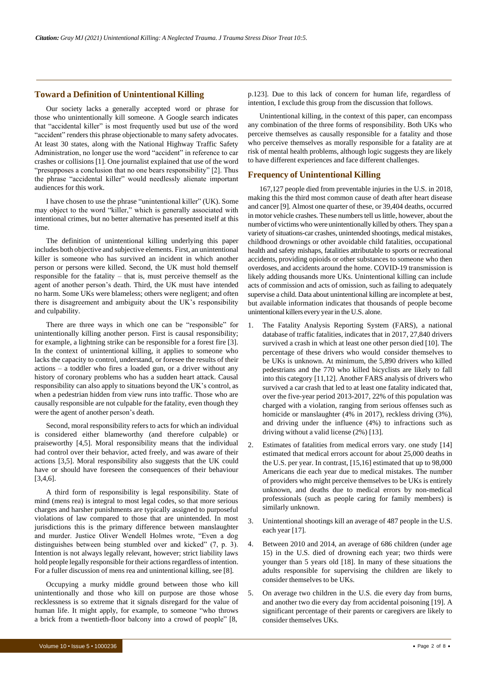#### **Toward a Definition of Unintentional Killing**

Our society lacks a generally accepted word or phrase for those who unintentionally kill someone. A Google search indicates that "accidental killer" is most frequently used but use of the word "accident" renders this phrase objectionable to many safety advocates. At least 30 states, along with the National Highway Traffic Safety Administration, no longer use the word "accident" in reference to car crashes or collisions [1]. One journalist explained that use of the word "presupposes a conclusion that no one bears responsibility" [2]. Thus the phrase "accidental killer" would needlessly alienate important audiences for this work.

I have chosen to use the phrase "unintentional killer" (UK). Some may object to the word "killer," which is generally associated with intentional crimes, but no better alternative has presented itself at this time.

The definition of unintentional killing underlying this paper includes both objective and subjective elements. First, an unintentional killer is someone who has survived an incident in which another person or persons were killed. Second, the UK must hold themself responsible for the fatality – that is, must perceive themself as the agent of another person's death. Third, the UK must have intended no harm. Some UKs were blameless; others were negligent; and often there is disagreement and ambiguity about the UK's responsibility and culpability.

There are three ways in which one can be "responsible" for unintentionally killing another person. First is causal responsibility; for example, a lightning strike can be responsible for a forest fire [3]. In the context of unintentional killing, it applies to someone who lacks the capacity to control, understand, or foresee the results of their actions – a toddler who fires a loaded gun, or a driver without any history of coronary problems who has a sudden heart attack. Causal responsibility can also apply to situations beyond the UK's control, as when a pedestrian hidden from view runs into traffic. Those who are causally responsible are not culpable for the fatality, even though they were the agent of another person's death.

Second, moral responsibility refers to acts for which an individual is considered either blameworthy (and therefore culpable) or praiseworthy [4,5]. Moral responsibility means that the individual had control over their behavior, acted freely, and was aware of their actions [3,5]. Moral responsibility also suggests that the UK could have or should have foreseen the consequences of their behaviour [3,4,6].

A third form of responsibility is legal responsibility. State of mind (mens rea) is integral to most legal codes, so that more serious charges and harsher punishments are typically assigned to purposeful violations of law compared to those that are unintended. In most jurisdictions this is the primary difference between manslaughter and murder. Justice Oliver Wendell Holmes wrote, "Even a dog distinguishes between being stumbled over and kicked" (7, p. 3). Intention is not always legally relevant, however; strict liability laws hold people legally responsible for their actions regardless of intention. For a fuller discussion of mens rea and unintentional killing, see [8].

Occupying a murky middle ground between those who kill unintentionally and those who kill on purpose are those whose recklessness is so extreme that it signals disregard for the value of human life. It might apply, for example, to someone "who throws a brick from a twentieth-floor balcony into a crowd of people" [8,

Unintentional killing, in the context of this paper, can encompass any combination of the three forms of responsibility. Both UKs who perceive themselves as causally responsible for a fatality and those who perceive themselves as morally responsible for a fatality are at risk of mental health problems, although logic suggests they are likely to have different experiences and face different challenges.

#### **Frequency of Unintentional Killing**

167,127 people died from preventable injuries in the U.S. in 2018, making this the third most common cause of death after heart disease and cancer [9]. Almost one quarter of these, or 39,404 deaths, occurred in motor vehicle crashes. These numbers tell us little, however, about the number of victims who were unintentionally killed by others. They span a variety of situations-car crashes, unintended shootings, medical mistakes, childhood drownings or other avoidable child fatalities, occupational health and safety mishaps, fatalities attributable to sports or recreational accidents, providing opioids or other substances to someone who then overdoses, and accidents around the home. COVID-19 transmission is likely adding thousands more UKs. Unintentional killing can include acts of commission and acts of omission, such as failing to adequately supervise a child. Data about unintentional killing are incomplete at best, but available information indicates that thousands of people become unintentional killers every yearin the U.S. alone.

- 1. The Fatality Analysis Reporting System (FARS), a national database of traffic fatalities, indicates that in 2017, 27,840 drivers survived a crash in which at least one other person died [10]. The percentage of these drivers who would consider themselves to be UKs is unknown. At minimum, the 5,890 drivers who killed pedestrians and the 770 who killed bicyclists are likely to fall into this category [11,12]. Another FARS analysis of drivers who survived a car crash that led to at least one fatality indicated that, over the five-year period 2013-2017, 22% of this population was charged with a violation, ranging from serious offenses such as homicide or manslaughter (4% in 2017), reckless driving (3%), and driving under the influence (4%) to infractions such as driving without a valid license (2%) [13].
- 2. Estimates of fatalities from medical errors vary. one study [14] estimated that medical errors account for about 25,000 deaths in the U.S. per year. In contrast, [15,16] estimated that up to 98,000 Americans die each year due to medical mistakes. The number of providers who might perceive themselves to be UKs is entirely unknown, and deaths due to medical errors by non-medical professionals (such as people caring for family members) is similarly unknown.
- 3. Unintentional shootings kill an average of 487 people in the U.S. each year [17].
- 4. Between 2010 and 2014, an average of 686 children (under age 15) in the U.S. died of drowning each year; two thirds were younger than 5 years old [18]. In many of these situations the adults responsible for supervising the children are likely to consider themselves to be UKs.
- 5. On average two children in the U.S. die every day from burns, and another two die every day from accidental poisoning [19]. A significant percentage of their parents or caregivers are likely to consider themselves UKs.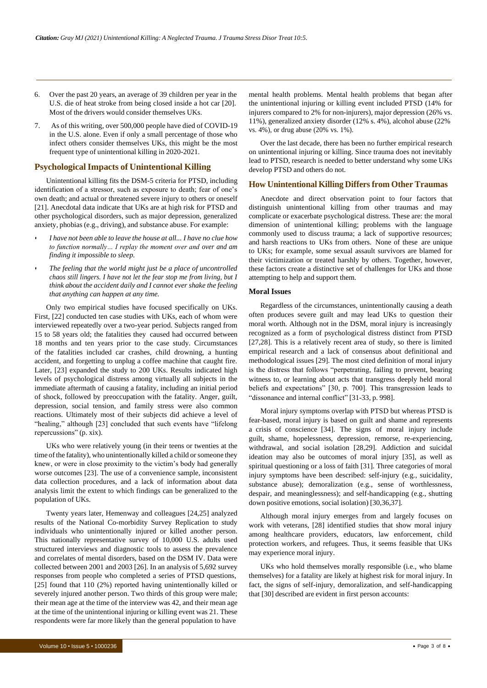- 6. Over the past 20 years, an average of 39 children per year in the U.S. die of heat stroke from being closed inside a hot car [20]. Most of the drivers would consider themselves UKs.
- 7. As of this writing, over 500,000 people have died of COVID-19 in the U.S. alone. Even if only a small percentage of those who infect others consider themselves UKs, this might be the most frequent type of unintentional killing in 2020-2021.

#### **PsychologicalImpacts of Unintentional Killing**

Unintentional killing fits the DSM-5 criteria for PTSD, including identification of a stressor, such as exposure to death; fear of one's own death; and actual or threatened severe injury to others or oneself [21]. Anecdotal data indicate that UKs are at high risk for PTSD and other psychological disorders, such as major depression, generalized anxiety, phobias (e.g., driving), and substance abuse. For example:

- *• I have not been able to leave the house at all... I have no clue how to function normally… I replay the moment over and over and am finding it impossible to sleep.*
- *• The feeling that the world might just be a place of uncontrolled chaos still lingers. I have not let the fear stop me from living, but I think about the accident daily and I cannot ever shake the feeling that anything can happen at any time.*

Only two empirical studies have focused specifically on UKs. First, [22] conducted ten case studies with UKs, each of whom were interviewed repeatedly over a two-year period. Subjects ranged from 15 to 58 years old; the fatalities they caused had occurred between 18 months and ten years prior to the case study. Circumstances of the fatalities included car crashes, child drowning, a hunting accident, and forgetting to unplug a coffee machine that caught fire. Later, [23] expanded the study to 200 UKs. Results indicated high levels of psychological distress among virtually all subjects in the immediate aftermath of causing a fatality, including an initial period of shock, followed by preoccupation with the fatality. Anger, guilt, depression, social tension, and family stress were also common reactions. Ultimately most of their subjects did achieve a level of "healing," although [23] concluded that such events have "lifelong repercussions" (p. xix).

UKs who were relatively young (in their teens or twenties at the time of the fatality), who unintentionally killed a child or someone they knew, or were in close proximity to the victim's body had generally worse outcomes [23]. The use of a convenience sample, inconsistent data collection procedures, and a lack of information about data analysis limit the extent to which findings can be generalized to the population of UKs.

Twenty years later, Hemenway and colleagues [24,25] analyzed results of the National Co-morbidity Survey Replication to study individuals who unintentionally injured or killed another person. This nationally representative survey of 10,000 U.S. adults used structured interviews and diagnostic tools to assess the prevalence and correlates of mental disorders, based on the DSM IV. Data were collected between 2001 and 2003 [26]. In an analysis of 5,692 survey responses from people who completed a series of PTSD questions, [25] found that 110 (2%) reported having unintentionally killed or severely injured another person. Two thirds of this group were male; their mean age at the time of the interview was 42, and their mean age at the time of the unintentional injuring or killing event was 21. These respondents were far more likely than the general population to have

mental health problems. Mental health problems that began after the unintentional injuring or killing event included PTSD (14% for injurers compared to 2% for non-injurers), major depression (26% vs. 11%), generalized anxiety disorder (12% s. 4%), alcohol abuse (22% vs. 4%), or drug abuse (20% vs. 1%).

Over the last decade, there has been no further empirical research on unintentional injuring or killing. Since trauma does not inevitably lead to PTSD, research is needed to better understand why some UKs develop PTSD and others do not.

#### **How Unintentional Killing Differs from Other Traumas**

Anecdote and direct observation point to four factors that distinguish unintentional killing from other traumas and may complicate or exacerbate psychological distress. These are: the moral dimension of unintentional killing; problems with the language commonly used to discuss trauma; a lack of supportive resources; and harsh reactions to UKs from others. None of these are unique to UKs; for example, some sexual assault survivors are blamed for their victimization or treated harshly by others. Together, however, these factors create a distinctive set of challenges for UKs and those attempting to help and support them.

#### **Moral Issues**

Regardless of the circumstances, unintentionally causing a death often produces severe guilt and may lead UKs to question their moral worth. Although not in the DSM, moral injury is increasingly recognized as a form of psychological distress distinct from PTSD [27,28]. This is a relatively recent area of study, so there is limited empirical research and a lack of consensus about definitional and methodological issues [29]. The most cited definition of moral injury is the distress that follows "perpetrating, failing to prevent, bearing witness to, or learning about acts that transgress deeply held moral beliefs and expectations" [30, p. 700]. This transgression leads to "dissonance and internal conflict" [31-33, p. 998].

Moral injury symptoms overlap with PTSD but whereas PTSD is fear-based, moral injury is based on guilt and shame and represents a crisis of conscience [34]. The signs of moral injury include guilt, shame, hopelessness, depression, remorse, re-experiencing, withdrawal, and social isolation [28,29]. Addiction and suicidal ideation may also be outcomes of moral injury [35], as well as spiritual questioning or a loss of faith [31]. Three categories of moral injury symptoms have been described: self-injury (e.g., suicidality, substance abuse); demoralization (e.g., sense of worthlessness, despair, and meaninglessness); and self-handicapping (e.g., shutting down positive emotions, social isolation) [30,36,37].

Although moral injury emerges from and largely focuses on work with veterans, [28] identified studies that show moral injury among healthcare providers, educators, law enforcement, child protection workers, and refugees. Thus, it seems feasible that UKs may experience moral injury.

UKs who hold themselves morally responsible (i.e., who blame themselves) for a fatality are likely at highest risk for moral injury. In fact, the signs of self-injury, demoralization, and self-handicapping that [30] described are evident in first person accounts: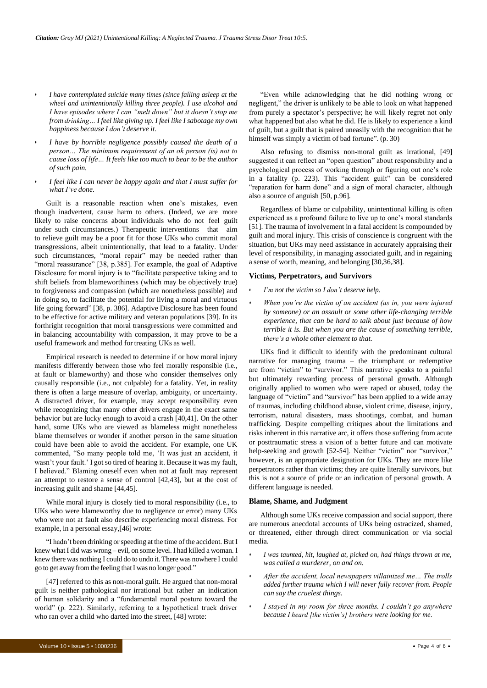- *• I have contemplated suicide many times (since falling asleep at the wheel and unintentionally killing three people). I use alcohol and I have episodes where I can "melt down" but it doesn't stop me from drinking… I feel like giving up. I feel like I sabotage my own happiness because I don't deserve it.*
- *• I have by horrible negligence possibly caused the death of a person… The minimum requirement of an ok person (is) not to cause loss of life… It feels like too much to bear to be the author of such pain.*
- *• I feel like I can never be happy again and that I must suffer for what I've done*.

Guilt is a reasonable reaction when one's mistakes, even though inadvertent, cause harm to others. (Indeed, we are more likely to raise concerns about individuals who do not feel guilt under such circumstances.) Therapeutic interventions that aim to relieve guilt may be a poor fit for those UKs who commit moral transgressions, albeit unintentionally, that lead to a fatality. Under such circumstances, "moral repair" may be needed rather than "moral reassurance" [38, p.385]. For example, the goal of Adaptive Disclosure for moral injury is to "facilitate perspective taking and to shift beliefs from blameworthiness (which may be objectively true) to forgiveness and compassion (which are nonetheless possible) and in doing so, to facilitate the potential for living a moral and virtuous life going forward" [38, p. 386]. Adaptive Disclosure has been found to be effective for active military and veteran populations [39]. In its forthright recognition that moral transgressions were committed and in balancing accountability with compassion, it may prove to be a useful framework and method for treating UKs as well.

Empirical research is needed to determine if or how moral injury manifests differently between those who feel morally responsible (i.e., at fault or blameworthy) and those who consider themselves only causally responsible (i.e., not culpable) for a fatality. Yet, in reality there is often a large measure of overlap, ambiguity, or uncertainty. A distracted driver, for example, may accept responsibility even while recognizing that many other drivers engage in the exact same behavior but are lucky enough to avoid a crash [40,41]. On the other hand, some UKs who are viewed as blameless might nonetheless blame themselves or wonder if another person in the same situation could have been able to avoid the accident. For example, one UK commented, "So many people told me, 'It was just an accident, it wasn't your fault.' I got so tired of hearing it. Because it was my fault, I believed." Blaming oneself even when not at fault may represent an attempt to restore a sense of control [42,43], but at the cost of increasing guilt and shame [44,45].

While moral injury is closely tied to moral responsibility (i.e., to UKs who were blameworthy due to negligence or error) many UKs who were not at fault also describe experiencing moral distress. For example, in a personal essay,[46] wrote:

"I hadn't been drinking or speeding at the time of the accident. But I knew what I did was wrong – evil, on some level. I had killed a woman. I knew there was nothing I could do to undo it. There was nowhere I could go to get away fromthe feeling thatI was no longer good."

[47] referred to this as non-moral guilt. He argued that non-moral guilt is neither pathological nor irrational but rather an indication of human solidarity and a "fundamental moral posture toward the world" (p. 222). Similarly, referring to a hypothetical truck driver who ran over a child who darted into the street, [48] wrote:

"Even while acknowledging that he did nothing wrong or negligent," the driver is unlikely to be able to look on what happened from purely a spectator's perspective; he will likely regret not only what happened but also what he did. He is likely to experience a kind of guilt, but a guilt that is paired uneasily with the recognition that he himself was simply a victim of bad fortune". (p. 30)

Also refusing to dismiss non-moral guilt as irrational, [49] suggested it can reflect an "open question" about responsibility and a psychological process of working through or figuring out one's role in a fatality (p. 223). This "accident guilt" can be considered "reparation for harm done" and a sign of moral character, although also a source of anguish [50, p.96].

Regardless of blame or culpability, unintentional killing is often experienced as a profound failure to live up to one's moral standards [51]. The trauma of involvement in a fatal accident is compounded by guilt and moral injury. This crisis of conscience is congruent with the situation, but UKs may need assistance in accurately appraising their level of responsibility, in managing associated guilt, and in regaining a sense of worth, meaning, and belonging [30,36,38].

#### **Victims, Perpetrators, and Survivors**

- *• I'm not the victim so I don't deserve help.*
- *• When you're the victim of an accident (as in, you were injured by someone) or an assault or some other life-changing terrible experience, that can be hard to talk about just because of how terrible it is. But when you are the cause of something terrible, there's a whole other element to that.*

UKs find it difficult to identify with the predominant cultural narrative for managing trauma – the triumphant or redemptive arc from "victim" to "survivor." This narrative speaks to a painful but ultimately rewarding process of personal growth. Although originally applied to women who were raped or abused, today the language of "victim" and "survivor" has been applied to a wide array of traumas, including childhood abuse, violent crime, disease, injury, terrorism, natural disasters, mass shootings, combat, and human trafficking. Despite compelling critiques about the limitations and risks inherent in this narrative arc, it offers those suffering from acute or posttraumatic stress a vision of a better future and can motivate help-seeking and growth [52-54]. Neither "victim" nor "survivor," however, is an appropriate designation for UKs. They are more like perpetrators rather than victims; they are quite literally survivors, but this is not a source of pride or an indication of personal growth. A different language is needed.

#### **Blame, Shame, and Judgment**

Although some UKs receive compassion and social support, there are numerous anecdotal accounts of UKs being ostracized, shamed, or threatened, either through direct communication or via social media.

- *• I was taunted, hit, laughed at, picked on, had things thrown at me, was called a murderer, on and on.*
- *• After the accident, local newspapers villainized me… The trolls added further trauma which I will never fully recover from. People can say the cruelest things.*
- *• I stayed in my room for three months. I couldn't go anywhere because I heard [the victim's] brothers were looking for me*.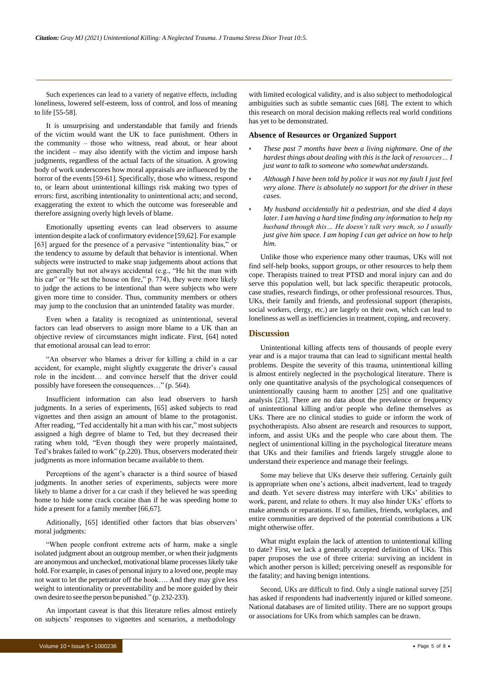Such experiences can lead to a variety of negative effects, including loneliness, lowered self-esteem, loss of control, and loss of meaning to life [55-58].

It is unsurprising and understandable that family and friends of the victim would want the UK to face punishment. Others in the community – those who witness, read about, or hear about the incident – may also identify with the victim and impose harsh judgments, regardless of the actual facts of the situation. A growing body of work underscores how moral appraisals are influenced by the horror of the events [59-61]. Specifically, those who witness, respond to, or learn about unintentional killings risk making two types of errors: first, ascribing intentionality to unintentional acts; and second, exaggerating the extent to which the outcome was foreseeable and therefore assigning overly high levels of blame.

Emotionally upsetting events can lead observers to assume intention despite a lack of confirmatory evidence [59,62]. For example [63] argued for the presence of a pervasive "intentionality bias," or the tendency to assume by default that behavior is intentional. When subjects were instructed to make snap judgements about actions that are generally but not always accidental (e.g., "He hit the man with his car" or "He set the house on fire," p. 774), they were more likely to judge the actions to be intentional than were subjects who were given more time to consider. Thus, community members or others may jump to the conclusion that an unintended fatality was murder.

Even when a fatality is recognized as unintentional, several factors can lead observers to assign more blame to a UK than an objective review of circumstances might indicate. First, [64] noted that emotional arousal can lead to error:

"An observer who blames a driver for killing a child in a car accident, for example, might slightly exaggerate the driver's causal role in the incident… and convince herself that the driver could possibly have foreseen the consequences…" (p. 564).

Insufficient information can also lead observers to harsh judgments. In a series of experiments, [65] asked subjects to read vignettes and then assign an amount of blame to the protagonist. After reading, "Ted accidentally hit a man with his car," mostsubjects assigned a high degree of blame to Ted, but they decreased their rating when told, "Even though they were properly maintained, Ted's brakes failed to work" (p.220). Thus, observers moderated their judgments as more information became available to them.

Perceptions of the agent's character is a third source of biased judgments. In another series of experiments, subjects were more likely to blame a driver for a car crash if they believed he was speeding home to hide some crack cocaine than if he was speeding home to hide a present for a family member [66,67].

Aditionally, [65] identified other factors that bias observers' moral judgments:

"When people confront extreme acts of harm, make a single isolated judgment about an outgroup member, or when their judgments are anonymous and unchecked, motivational blame processes likely take hold. For example, in cases of personal injury to a loved one, people may not want to let the perpetrator off the hook…. And they may give less weight to intentionality or preventability and be more guided by their own desire to see the person bepunished." (p. 232-233).

An important caveat is that this literature relies almost entirely on subjects' responses to vignettes and scenarios, a methodology

with limited ecological validity, and is also subject to methodological ambiguities such as subtle semantic cues [68]. The extent to which this research on moral decision making reflects real world conditions has yet to be demonstrated.

#### **Absence of Resources or Organized Support**

- *• These past 7 months have been a living nightmare. One of the hardest things about dealing with this is the lack of resources… I just want to talk to someone who somewhat understands.*
- *• Although I have been told by police it was not my fault I just feel very alone. There is absolutely no support for the driver in these cases.*
- *• My husband accidentally hit a pedestrian, and she died 4 days later. I am having a hard time finding any information to help my husband through this… He doesn't talk very much, so I usually just give him space. I am hoping I can get advice on how to help him.*

Unlike those who experience many other traumas, UKs will not find self-help books, support groups, or other resources to help them cope. Therapists trained to treat PTSD and moral injury can and do serve this population well, but lack specific therapeutic protocols, case studies, research findings, or other professional resources. Thus, UKs, their family and friends, and professional support (therapists, social workers, clergy, etc.) are largely on their own, which can lead to loneliness as well as inefficiencies in treatment, coping, and recovery.

#### **Discussion**

Unintentional killing affects tens of thousands of people every year and is a major trauma that can lead to significant mental health problems. Despite the severity of this trauma, unintentional killing is almost entirely neglected in the psychological literature. There is only one quantitative analysis of the psychological consequences of unintentionally causing harm to another [25] and one qualitative analysis [23]. There are no data about the prevalence or frequency of unintentional killing and/or people who define themselves as UKs. There are no clinical studies to guide or inform the work of psychotherapists. Also absent are research and resources to support, inform, and assist UKs and the people who care about them. The neglect of unintentional killing in the psychological literature means that UKs and their families and friends largely struggle alone to understand their experience and manage their feelings.

Some may believe that UKs deserve their suffering. Certainly guilt is appropriate when one's actions, albeit inadvertent, lead to tragedy and death. Yet severe distress may interfere with UKs' abilities to work, parent, and relate to others. It may also hinder UKs' efforts to make amends or reparations. If so, families, friends, workplaces, and entire communities are deprived of the potential contributions a UK might otherwise offer.

What might explain the lack of attention to unintentional killing to date? First, we lack a generally accepted definition of UKs. This paper proposes the use of three criteria: surviving an incident in which another person is killed; perceiving oneself as responsible for the fatality; and having benign intentions.

Second, UKs are difficult to find. Only a single national survey [25] has asked if respondents had inadvertently injured or killed someone. National databases are of limited utility. There are no support groups or associations for UKs from which samples can be drawn.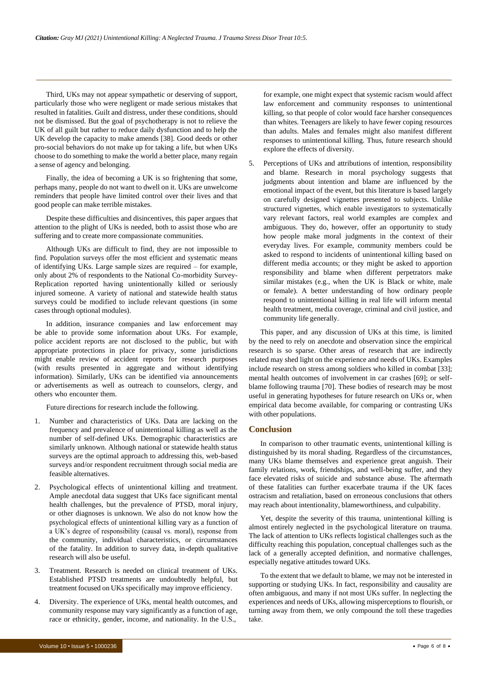Third, UKs may not appear sympathetic or deserving of support, particularly those who were negligent or made serious mistakes that resulted in fatalities. Guilt and distress, under these conditions, should not be dismissed. But the goal of psychotherapy is not to relieve the UK of all guilt but rather to reduce daily dysfunction and to help the UK develop the capacity to make amends [38]. Good deeds or other pro-social behaviors do not make up for taking a life, but when UKs choose to do something to make the world a better place, many regain a sense of agency and belonging.

Finally, the idea of becoming a UK is so frightening that some, perhaps many, people do not want to dwell on it. UKs are unwelcome reminders that people have limited control over their lives and that good people can make terrible mistakes.

Despite these difficulties and disincentives, this paper argues that attention to the plight of UKs is needed, both to assist those who are suffering and to create more compassionate communities.

Although UKs are difficult to find, they are not impossible to find. Population surveys offer the most efficient and systematic means of identifying UKs. Large sample sizes are required – for example, only about 2% of respondents to the National Co-morbidity Survey-Replication reported having unintentionally killed or seriously injured someone. A variety of national and statewide health status surveys could be modified to include relevant questions (in some cases through optional modules).

In addition, insurance companies and law enforcement may be able to provide some information about UKs. For example, police accident reports are not disclosed to the public, but with appropriate protections in place for privacy, some jurisdictions might enable review of accident reports for research purposes (with results presented in aggregate and without identifying information). Similarly, UKs can be identified via announcements or advertisements as well as outreach to counselors, clergy, and others who encounter them.

Future directions for research include the following.

- 1. Number and characteristics of UKs. Data are lacking on the frequency and prevalence of unintentional killing as well as the number of self-defined UKs. Demographic characteristics are similarly unknown. Although national or statewide health status surveys are the optimal approach to addressing this, web-based surveys and/or respondent recruitment through social media are feasible alternatives.
- 2. Psychological effects of unintentional killing and treatment. Ample anecdotal data suggest that UKs face significant mental health challenges, but the prevalence of PTSD, moral injury, or other diagnoses is unknown. We also do not know how the psychological effects of unintentional killing vary as a function of a UK's degree of responsibility (causal vs. moral), response from the community, individual characteristics, or circumstances of the fatality. In addition to survey data, in-depth qualitative research will also be useful.
- 3. Treatment. Research is needed on clinical treatment of UKs. Established PTSD treatments are undoubtedly helpful, but treatment focused on UKs specifically may improve efficiency.
- 4. Diversity. The experience of UKs, mental health outcomes, and community response may vary significantly as a function of age, race or ethnicity, gender, income, and nationality. In the U.S.,

for example, one might expect that systemic racism would affect law enforcement and community responses to unintentional killing, so that people of color would face harsher consequences than whites. Teenagers are likely to have fewer coping resources than adults. Males and females might also manifest different responses to unintentional killing. Thus, future research should explore the effects of diversity.

Perceptions of UKs and attributions of intention, responsibility and blame. Research in moral psychology suggests that judgments about intention and blame are influenced by the emotional impact of the event, but this literature is based largely on carefully designed vignettes presented to subjects. Unlike structured vignettes, which enable investigators to systematically vary relevant factors, real world examples are complex and ambiguous. They do, however, offer an opportunity to study how people make moral judgments in the context of their everyday lives. For example, community members could be asked to respond to incidents of unintentional killing based on different media accounts; or they might be asked to apportion responsibility and blame when different perpetrators make similar mistakes (e.g., when the UK is Black or white, male or female). A better understanding of how ordinary people respond to unintentional killing in real life will inform mental health treatment, media coverage, criminal and civil justice, and community life generally.

This paper, and any discussion of UKs at this time, is limited by the need to rely on anecdote and observation since the empirical research is so sparse. Other areas of research that are indirectly related may shed light on the experience and needs of UKs. Examples include research on stress among soldiers who killed in combat [33]; mental health outcomes of involvement in car crashes [69]; or selfblame following trauma [70]. These bodies of research may be most useful in generating hypotheses for future research on UKs or, when empirical data become available, for comparing or contrasting UKs with other populations.

#### **Conclusion**

In comparison to other traumatic events, unintentional killing is distinguished by its moral shading. Regardless of the circumstances, many UKs blame themselves and experience great anguish. Their family relations, work, friendships, and well-being suffer, and they face elevated risks of suicide and substance abuse. The aftermath of these fatalities can further exacerbate trauma if the UK faces ostracism and retaliation, based on erroneous conclusions that others may reach about intentionality, blameworthiness, and culpability.

Yet, despite the severity of this trauma, unintentional killing is almost entirely neglected in the psychological literature on trauma. The lack of attention to UKs reflects logistical challenges such as the difficulty reaching this population, conceptual challenges such as the lack of a generally accepted definition, and normative challenges, especially negative attitudes toward UKs.

To the extent that we default to blame, we may not be interested in supporting or studying UKs. In fact, responsibility and causality are often ambiguous, and many if not most UKs suffer. In neglecting the experiences and needs of UKs, allowing misperceptions to flourish, or turning away from them, we only compound the toll these tragedies take.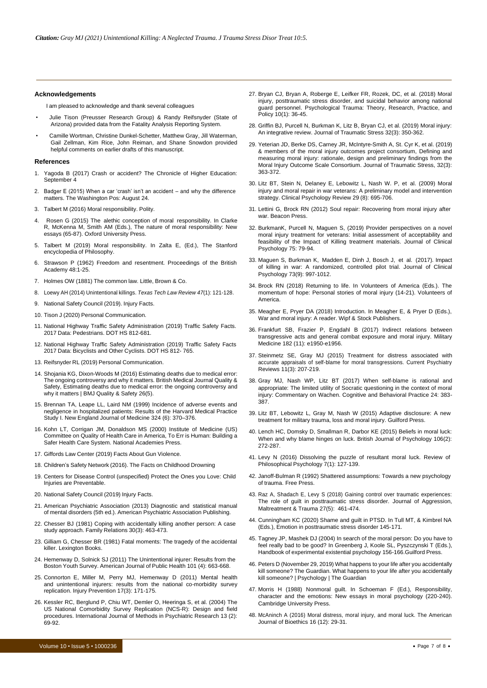#### **Acknowledgements**

I am pleased to acknowledge and thank several colleagues

- Julie Tison (Preusser Research Group) & Randy Reifsnyder (State of Arizona) provided data from the Fatality Analysis Reporting System.
- Camille Wortman, Christine Dunkel-Schetter, Matthew Gray, Jill Waterman, Gail Zellman, Kim Rice, John Reiman, and Shane Snowdon provided helpful comments on earlier drafts of this manuscript.

#### **References**

- 1. [Yagoda B \(2017\) Crash or accident? The Chronicle of Higher Education:](https://www.chronicle.com/) September 4
- 2. [Badger E \(2015\) When a car 'crash' isn't an accident –](https://www.washingtonpost.com/news/wonk/wp/2015/08/24/when-a-car-crash-isnt-an-accident-and-why-the-difference-matters/) and why the difference matters. The [Washington](https://www.washingtonpost.com/news/wonk/wp/2015/08/24/when-a-car-crash-isnt-an-accident-and-why-the-difference-matters/) Pos: August 24.
- 3. Talbert M (2016) [Moral responsibility.](https://books.google.co.in/books?hl=en&lr&id=IFdwCwAAQBAJ&oi=fnd&pg=PT3&dq=3.%2BTalbert%2BM%2C%2B(2016).%2BMoral%2Bresponsibility.%2BPolity.&ots=6pwIrMeXLj&sig=rAPMQMDtbQCMLj9J7PQhW_kR1pA%23v%3Donepage&q&f=false) Polity.
- 4. Rosen G (2015) The alethic conception of moral responsibility. In Clarke R, McKenna M, Smith AM (Eds.), The nature of moral responsibility: New essays (65-87). Oxford University Press.
- 5. Talbert M (2019) Moral responsibility. In Zalta E, (Ed.), The Stanford encyclopedia of Philosophy.
- 6. [Strawson P \(1962\) Freedom and resentment. Proceedings of the British](https://philpapers.org/rec/STRFAR) [Academy](https://philpapers.org/rec/STRFAR) 48:1-25.
- 7. Holmes OW (1881) The common law. Little, Brown & Co.
- 8. Loewy AH (2014) Unintentional killings. *Texas Tech Law Review 47*(1): 121-128.
- 9. [National](https://injuryfacts.nsc.org/) Safety Council (2019). Injury Facts.
- 10. Tison J (2020) Personal Communication.
- 11. [National Highway Traffic Safety Administration \(2019\) Traffic Safety Facts.](https://crashstats.nhtsa.dot.gov/Api/Public/ViewPublication/812806) 2017 Data: [Pedestrians.](https://crashstats.nhtsa.dot.gov/Api/Public/ViewPublication/812806) DOT HS 812-681.
- 12. [National Highway Traffic Safety Administration \(2019\) Traffic Safety Facts](https://crashstats.nhtsa.dot.gov/Api/Public/ViewPublication/812765) 2017 Data: [Bicyclists](https://crashstats.nhtsa.dot.gov/Api/Public/ViewPublication/812765) and Other Cyclists. DOT HS 812- 765.
- 13. Reifsnyder RL (2019) Personal [Communication.](https://doi.org/10.2337/diabetes.54.6.1854)
- 14. Shojania KG, [Dixon-Woods](http://dx.doi.org/10.1136/bmjqs-2016-006144) M (2016) Estimating deaths due to medical error: The ongoing [controversy](http://dx.doi.org/10.1136/bmjqs-2016-006144) and why it matters. British Medical Journal Quality & [Safety, Estimating deaths due to medical error: the ongoing controversy and](http://dx.doi.org/10.1136/bmjqs-2016-006144) why it matters | BMJ [Quality & Safety](http://dx.doi.org/10.1136/bmjqs-2016-006144) 26(5).
- 15. Brennan TA, Leape LL, Laird NM (1999) Incidence of adverse events and negligence in hospitalized patients: Results of the Harvard Medical Practice Study I. New England Journal of Medicine 324 (6): 370–376.
- 16. Kohn LT, Corrigan JM, Donaldson MS (2000) Institute of Medicine (US) Committee on Quality of Health Care in America, To Err is Human: Building a Safer Health Care System. National Academies Press.
- 17. Giffords Law Center (2019) Facts About Gun [Violence.](https://giffords.org/wp-content/uploads/2019/03/Facts-About-Gun-Violence-Factsheet.pdf)
- 18. Children's Safety Network (2016). The Facts on Childhood Drowning
- 19. Centers for Disease Control (unspecified) Protect the Ones you Love: Child Injuries are Preventable.
- 20. [National](https://injuryfacts.nsc.org/motor-vehicle/motor-vehicle-safety-issues/hotcars/) Safety Council (2019) Injury Facts.
- 21. [American Psychiatric Association](https://doi.org/10.1176/appi.books.9780890425596) (2013) Diagnostic and statistical manual of mental [disorders](https://doi.org/10.1176/appi.books.9780890425596) (5th ed.). American Psychiatric Association Publishing.
- 22. [Chesser BJ \(1981\) Coping with accidentally killing another person: A case](https://doi.org/10.2307/584044) study [approach.](https://doi.org/10.2307/584044) Family Relations 30(3): 463-473.
- 23. Gilliam G, Chesser BR (1981) Fatal moments: The tragedy of the accidental killer. Lexington Books.
- 24. Hemenway D, Solnick SJ (2011) The Unintentional injurer: Results from the Boston Youth Survey. American Journal of Public Health 101 (4): 663-668.
- 25. [Connorton E,](https://doi.org/10.1136/ip.2010.028464) Miller M, Perry MJ, Hemenway D (2011) Mental health and [unintentional](https://doi.org/10.1136/ip.2010.028464) injurers: results from the national co-morbidity survey [replication.](https://doi.org/10.1136/ip.2010.028464) Injury Prevention 17(3): 171-175.
- 26. Kessler RC, Berglund P, Chiu WT, Demler O, Heeringa S, et al. (2004) The US National Comorbidity Survey Replication (NCS-R): Design and field procedures. International Journal of Methods in Psychiatric Research 13 (2): 69-92.
- 27. Bryan CJ, Bryan A, Roberge E, Leifker FR, Rozek, DC, et al. (2018) Moral injury, posttraumatic stress disorder, and suicidal behavior among national guard personnel. Psychological Trauma: Theory, Research, Practice, and Policy 10(1): 36-45.
- 28. [Griffin BJ, Purcell N, Burkman K, Litz B, Bryan CJ, et al. \(2019\) Moral injury:](https://doi.org/10.1002/jts.22362) An [integrative](https://doi.org/10.1002/jts.22362) review. Journal of Traumatic Stress 32(3): 350-362.
- 29. Yeterian JD, Berke DS, Carney JR, McIntyre-Smith A, St. Cyr K, et al. (2019) & members of the moral injury outcomes project consortium, Defining and measuring moral injury: rationale, design and preliminary findings from the Moral Injury Outcome Scale Consortium. Journal of Traumatic Stress, 32(3): 363-372.
- 30. Litz BT, Stein N, [Delaney E, Lebowitz L, Nash](https://doi.org/10.1016/j.cpr.2009.07.003) W. P, et al. (2009) Moral [injury and moral repair in war veterans: A preliminary model and intervention](https://doi.org/10.1016/j.cpr.2009.07.003) strategy. [Clinical Psychology](https://doi.org/10.1016/j.cpr.2009.07.003) Review 29 (8): 695-706.
- 31. Lettini G, Brock RN (2012) Soul repair: Recovering from moral injury after war. Beacon Press.
- 32. [BurkmanK, Purcell N, Maguen S, \(2019\) Provider perspectives on a novel](https://doi.org/10.1002/jclp.22702) [moral injury treatment for veterans: Initial assessment of acceptability and](https://doi.org/10.1002/jclp.22702) [feasibility of the Impact of Killing treatment materials. Journal of Clinical](https://doi.org/10.1002/jclp.22702) [Psychology](https://doi.org/10.1002/jclp.22702) 75: 79-94.
- 33. Maguen S, Burkman K, [Madden E, Dinh J, Bosch J,](https://doi.org/10.1002/jclp.22471) et al. (2017). Impact of killing in war: A [randomized,](https://doi.org/10.1002/jclp.22471) controlled pilot trial. Journal of Clinical [Psychology](https://doi.org/10.1002/jclp.22471) 73(9): 997-1012.
- 34. Brock RN (2018) Returning to life. In Volunteers of America (Eds.). The momentum of hope: Personal stories of moral injury (14-21). Volunteers of America.
- 35. Meagher E, Pryer DA (2018) Introduction. In Meagher E, & Pryer D (Eds.), War and moral injury: A reader. Wipf & Stock Publishers.
- 36. Frankfurt SB, Frazier P, Engdahl B (2017) Indirect relations between transgressive acts and general combat exposure and moral injury. Military Medicine 182 (11): e1950-e1956.
- 37. Steinmetz SE, Gray MJ (2015) Treatment for distress [associated](https://doi.org/10.2174/1573400511666150629105709) with [accurate appraisals of self-blame for moral transgressions. Current Psychiatry](https://doi.org/10.2174/1573400511666150629105709) Reviews 11(3): [207-219.](https://doi.org/10.2174/1573400511666150629105709)
- 38. Gray MJ, Nash WP, Litz BT (2017) When [self-blame](https://www.sciencedirect.com/science/article/abs/pii/S1077722917300457) is rational and [appropriate: The limited utility of Socratic questioning in the context of moral](https://www.sciencedirect.com/science/article/abs/pii/S1077722917300457) [injury: Commentary on Wachen. Cognitive and Behavioral Practice 24: 383-](https://www.sciencedirect.com/science/article/abs/pii/S1077722917300457) [387.](https://www.sciencedirect.com/science/article/abs/pii/S1077722917300457)
- 39. [Litz BT, Lebowitz L, Gray M, Nash W \(2015\) Adaptive disclosure: A new](https://www.guilford.com/books/Adaptive-Disclosure/Litz-Lebowitz-Gray-Nash/9781462533831) treatment for military trauma, loss [and moral](https://www.guilford.com/books/Adaptive-Disclosure/Litz-Lebowitz-Gray-Nash/9781462533831) injury. Guilford Press.
- 40. [Lench HC, Domsky D, Smallman R, Darbor KE \(2015\) Beliefs in moral luck:](https://doi.org/10.1111/bjop.12072) [When and why blame hinges on luck. British Journal of Psychology 106\(2\):](https://doi.org/10.1111/bjop.12072) [272-287.](https://doi.org/10.1111/bjop.12072)
- 41. Levy N (2016) Dissolving the puzzle of resultant moral luck. Review of Philosophical Psychology 7(1): 127-139.
- 42. [Janoff-Bulman](https://psycnet.apa.org/record/1992-97250-000) R (1992) Shattered assumptions: Towards a new psychology of [trauma.](https://psycnet.apa.org/record/1992-97250-000) Free Press.
- 43. [Raz A, Shadach E, Levy S \(2018\) Gaining control over traumatic experiences:](https://doi.org/10.1080/10926771.2017.1389792) [The role of guilt in posttraumatic stress disorder. Journal of Aggression,](https://doi.org/10.1080/10926771.2017.1389792) [Maltreatment](https://doi.org/10.1080/10926771.2017.1389792) & Trauma 27(5): 461-474.
- 44. [Cunningham KC \(2020\) Shame and guilt in PTSD. In Tull MT, & Kimbrel NA](https://doi.org/10.1111/bjc.12163) (Eds.), Emotion in [posttraumatic](https://doi.org/10.1111/bjc.12163) stress disorder 145-171.
- 45. Tagney JP, Mashek DJ (2004) In search of the moral person: Do you have to feel really bad to be good? In Greenberg J, Koole SL, Pyszczynski T (Eds.), Handbook of experimental existential psychology 156-166.Guilford Press.
- 46. Peters D (November 29, 2019) What happens to your life after you accidentally kill someone? The Guardian. What happens to your life after you accidentally kill someone? | Psychology | The Guardian
- 47. Morris H (1988) Nonmoral guilt. In Schoeman F (Ed.), Responsibility, character and the emotions: New essays in moral psychology (220-240). Cambridge University Press.
- 48. [McAninch A \(2016\) Moral distress, moral injury, and moral luck. The American](https://doi.org/10.1080/15265161.2016.1239790) Journal of [Bioethics](https://doi.org/10.1080/15265161.2016.1239790) 16 (12): 29-31.